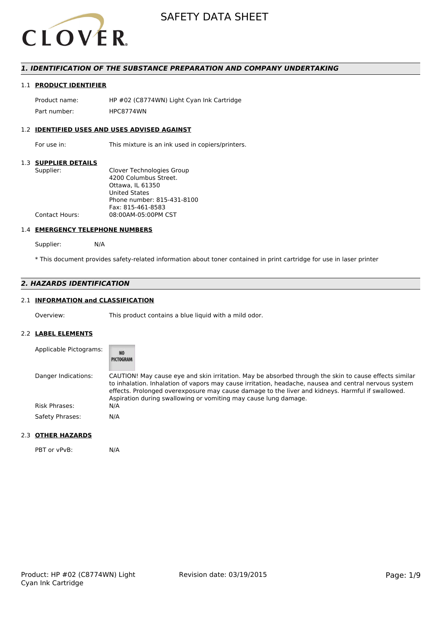

## *1. IDENTIFICATION OF THE SUBSTANCE PREPARATION AND COMPANY UNDERTAKING*

## 1.1 **PRODUCT IDENTIFIER**

Product name: HP #02 (C8774WN) Light Cyan Ink Cartridge Part number: HPC8774WN

### 1.2 **IDENTIFIED USES AND USES ADVISED AGAINST**

For use in: This mixture is an ink used in copiers/printers.

#### 1.3 **SUPPLIER DETAILS**

| Supplier:             | Clover Technologies Group  |
|-----------------------|----------------------------|
|                       | 4200 Columbus Street.      |
|                       | Ottawa. IL 61350           |
|                       | <b>United States</b>       |
|                       | Phone number: 815-431-8100 |
|                       | Fax: 815-461-8583          |
| <b>Contact Hours:</b> | 08:00AM-05:00PM CST        |
|                       |                            |

#### 1.4 **EMERGENCY TELEPHONE NUMBERS**

Supplier: N/A

\* This document provides safety-related information about toner contained in print cartridge for use in laser printer

## *2. HAZARDS IDENTIFICATION*

## 2.1 **INFORMATION and CLASSIFICATION**

Overview: This product contains a blue liquid with a mild odor.

#### 2.2 **LABEL ELEMENTS**

| Applicable Pictograms: | <b>NO</b><br>PICTOGRAM                                                                                                                                                                                                                                                                                                                                                                |
|------------------------|---------------------------------------------------------------------------------------------------------------------------------------------------------------------------------------------------------------------------------------------------------------------------------------------------------------------------------------------------------------------------------------|
| Danger Indications:    | CAUTION! May cause eye and skin irritation. May be absorbed through the skin to cause effects similar<br>to inhalation. Inhalation of vapors may cause irritation, headache, nausea and central nervous system<br>effects. Prolonged overexposure may cause damage to the liver and kidneys. Harmful if swallowed.<br>Aspiration during swallowing or vomiting may cause lung damage. |
| <b>Risk Phrases:</b>   | N/A                                                                                                                                                                                                                                                                                                                                                                                   |
| Safety Phrases:        | N/A                                                                                                                                                                                                                                                                                                                                                                                   |

## 2.3 **OTHER HAZARDS**

PBT or vPvB: N/A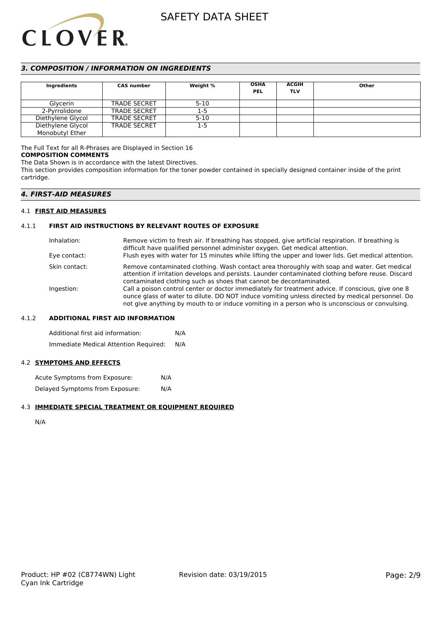

## *3. COMPOSITION / INFORMATION ON INGREDIENTS*

| Ingredients       | <b>CAS number</b>   | Weight % | <b>OSHA</b><br><b>PEL</b> | <b>ACGIH</b><br><b>TLV</b> | Other |
|-------------------|---------------------|----------|---------------------------|----------------------------|-------|
| Glycerin          | <b>TRADE SECRET</b> | $5 - 10$ |                           |                            |       |
| 2-Pyrrolidone     | <b>TRADE SECRET</b> | $1-5$    |                           |                            |       |
| Diethylene Glycol | <b>TRADE SECRET</b> | $5 - 10$ |                           |                            |       |
| Diethylene Glycol | <b>TRADE SECRET</b> | 1-5      |                           |                            |       |
| Monobutyl Ether   |                     |          |                           |                            |       |

## The Full Text for all R-Phrases are Displayed in Section 16

#### **COMPOSITION COMMENTS**

The Data Shown is in accordance with the latest Directives.

This section provides composition information for the toner powder contained in specially designed container inside of the print cartridge.

### *4. FIRST-AID MEASURES*

#### 4.1 **FIRST AID MEASURES**

#### 4.1.1 **FIRST AID INSTRUCTIONS BY RELEVANT ROUTES OF EXPOSURE**

| Inhalation:<br>Eye contact: | Remove victim to fresh air. If breathing has stopped, give artificial respiration. If breathing is<br>difficult have qualified personnel administer oxygen. Get medical attention.<br>Flush eyes with water for 15 minutes while lifting the upper and lower lids. Get medical attention.              |
|-----------------------------|--------------------------------------------------------------------------------------------------------------------------------------------------------------------------------------------------------------------------------------------------------------------------------------------------------|
| Skin contact:               | Remove contaminated clothing. Wash contact area thoroughly with soap and water. Get medical<br>attention if irritation develops and persists. Launder contaminated clothing before reuse. Discard<br>contaminated clothing such as shoes that cannot be decontaminated.                                |
| Ingestion:                  | Call a poison control center or doctor immediately for treatment advice. If conscious, give one 8<br>ounce glass of water to dilute. DO NOT induce vomiting unless directed by medical personnel. Do<br>not give anything by mouth to or induce vomiting in a person who is unconscious or convulsing. |

#### 4.1.2 **ADDITIONAL FIRST AID INFORMATION**

Additional first aid information: N/A Immediate Medical Attention Required: N/A

#### 4.2 **SYMPTOMS AND EFFECTS**

Acute Symptoms from Exposure: N/A Delayed Symptoms from Exposure: N/A

#### 4.3 **IMMEDIATE SPECIAL TREATMENT OR EQUIPMENT REQUIRED**

N/A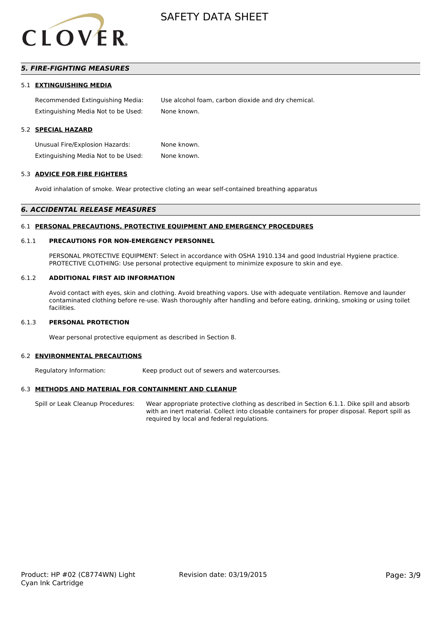

## *5. FIRE-FIGHTING MEASURES*

#### 5.1 **EXTINGUISHING MEDIA**

Recommended Extinguishing Media: Use alcohol foam, carbon dioxide and dry chemical. Extinguishing Media Not to be Used: None known.

#### 5.2 **SPECIAL HAZARD**

Unusual Fire/Explosion Hazards: None known. Extinguishing Media Not to be Used: None known.

#### 5.3 **ADVICE FOR FIRE FIGHTERS**

Avoid inhalation of smoke. Wear protective cloting an wear self-contained breathing apparatus

#### *6. ACCIDENTAL RELEASE MEASURES*

#### 6.1 **PERSONAL PRECAUTIONS, PROTECTIVE EQUIPMENT AND EMERGENCY PROCEDURES**

#### 6.1.1 **PRECAUTIONS FOR NON-EMERGENCY PERSONNEL**

PERSONAL PROTECTIVE EQUIPMENT: Select in accordance with OSHA 1910.134 and good Industrial Hygiene practice. PROTECTIVE CLOTHING: Use personal protective equipment to minimize exposure to skin and eye.

#### 6.1.2 **ADDITIONAL FIRST AID INFORMATION**

Avoid contact with eyes, skin and clothing. Avoid breathing vapors. Use with adequate ventilation. Remove and launder contaminated clothing before re-use. Wash thoroughly after handling and before eating, drinking, smoking or using toilet facilities.

#### 6.1.3 **PERSONAL PROTECTION**

Wear personal protective equipment as described in Section 8.

#### 6.2 **ENVIRONMENTAL PRECAUTIONS**

Regulatory Information: Keep product out of sewers and watercourses.

#### 6.3 **METHODS AND MATERIAL FOR CONTAINMENT AND CLEANUP**

Spill or Leak Cleanup Procedures: Wear appropriate protective clothing as described in Section 6.1.1. Dike spill and absorb with an inert material. Collect into closable containers for proper disposal. Report spill as required by local and federal regulations.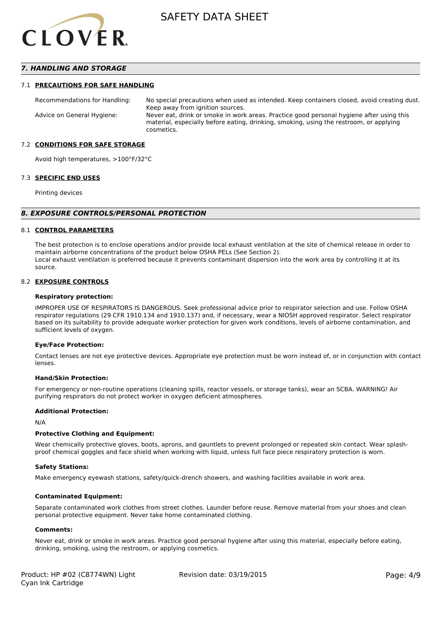

## *7. HANDLING AND STORAGE*

#### 7.1 **PRECAUTIONS FOR SAFE HANDLING**

Recommendations for Handling: No special precautions when used as intended. Keep containers closed, avoid creating dust. Keep away from ignition sources. Advice on General Hygiene: Never eat, drink or smoke in work areas. Practice good personal hygiene after using this material, especially before eating, drinking, smoking, using the restroom, or applying cosmetics.

#### 7.2 **CONDITIONS FOR SAFE STORAGE**

Avoid high temperatures, >100°F/32°C

#### 7.3 **SPECIFIC END USES**

Printing devices

#### *8. EXPOSURE CONTROLS/PERSONAL PROTECTION*

#### 8.1 **CONTROL PARAMETERS**

The best protection is to enclose operations and/or provide local exhaust ventilation at the site of chemical release in order to maintain airborne concentrations of the product below OSHA PELs (See Section 2). Local exhaust ventilation is preferred because it prevents contaminant dispersion into the work area by controlling it at its source.

#### 8.2 **EXPOSURE CONTROLS**

#### **Respiratory protection:**

IMPROPER USE OF RESPIRATORS IS DANGEROUS. Seek professional advice prior to respirator selection and use. Follow OSHA respirator regulations (29 CFR 1910.134 and 1910.137) and, if necessary, wear a NIOSH approved respirator. Select respirator based on its suitability to provide adequate worker protection for given work conditions, levels of airborne contamination, and sufficient levels of oxygen.

#### **Eye/Face Protection:**

Contact lenses are not eye protective devices. Appropriate eye protection must be worn instead of, or in conjunction with contact lenses.

#### **Hand/Skin Protection:**

For emergency or non-routine operations (cleaning spills, reactor vessels, or storage tanks), wear an SCBA. WARNING! Air purifying respirators do not protect worker in oxygen deficient atmospheres.

#### **Additional Protection:**

N/A

#### **Protective Clothing and Equipment:**

Wear chemically protective gloves, boots, aprons, and gauntlets to prevent prolonged or repeated skin contact. Wear splashproof chemical goggles and face shield when working with liquid, unless full face piece respiratory protection is worn.

#### **Safety Stations:**

Make emergency eyewash stations, safety/quick-drench showers, and washing facilities available in work area.

#### **Contaminated Equipment:**

Separate contaminated work clothes from street clothes. Launder before reuse. Remove material from your shoes and clean personal protective equipment. Never take home contaminated clothing.

#### **Comments:**

Never eat, drink or smoke in work areas. Practice good personal hygiene after using this material, especially before eating, drinking, smoking, using the restroom, or applying cosmetics.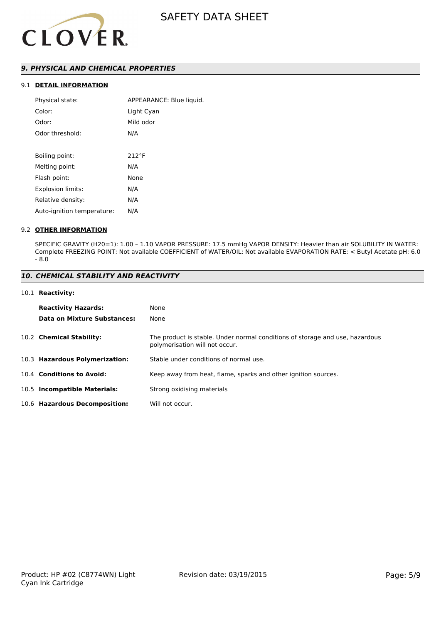

## *9. PHYSICAL AND CHEMICAL PROPERTIES*

## 9.1 **DETAIL INFORMATION**

| Physical state:            | APPEARANCE: Blue liquid. |
|----------------------------|--------------------------|
| Color:                     | Light Cyan               |
| Odor:                      | Mild odor                |
| Odor threshold:            | N/A                      |
|                            |                          |
| Boiling point:             | $212^{\circ}F$           |
| Melting point:             | N/A                      |
| Flash point:               | None                     |
| Explosion limits:          | N/A                      |
| Relative density:          | N/A                      |
| Auto-ignition temperature: | N/A                      |
|                            |                          |

#### 9.2 **OTHER INFORMATION**

SPECIFIC GRAVITY (H20=1): 1.00 – 1.10 VAPOR PRESSURE: 17.5 mmHg VAPOR DENSITY: Heavier than air SOLUBILITY IN WATER: Complete FREEZING POINT: Not available COEFFICIENT of WATER/OIL: Not available EVAPORATION RATE: < Butyl Acetate pH: 6.0 - 8.0

### *10. CHEMICAL STABILITY AND REACTIVITY*

#### 10.1 **Reactivity:**

| <b>Reactivity Hazards:</b>     | None                                                                                                           |
|--------------------------------|----------------------------------------------------------------------------------------------------------------|
| Data on Mixture Substances:    | None                                                                                                           |
| 10.2 Chemical Stability:       | The product is stable. Under normal conditions of storage and use, hazardous<br>polymerisation will not occur. |
| 10.3 Hazardous Polymerization: | Stable under conditions of normal use.                                                                         |
| 10.4 Conditions to Avoid:      | Keep away from heat, flame, sparks and other ignition sources.                                                 |
| 10.5 Incompatible Materials:   | Strong oxidising materials                                                                                     |
| 10.6 Hazardous Decomposition:  | Will not occur.                                                                                                |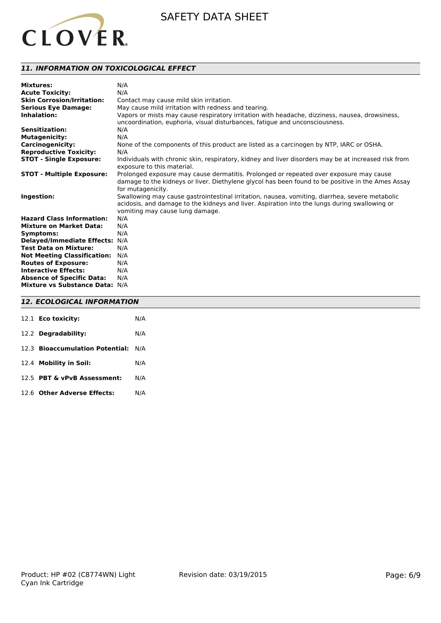

## *11. INFORMATION ON TOXICOLOGICAL EFFECT*

| <b>Mixtures:</b>                   | N/A                                                                                                                                                                                                                                |
|------------------------------------|------------------------------------------------------------------------------------------------------------------------------------------------------------------------------------------------------------------------------------|
| <b>Acute Toxicity:</b>             | N/A                                                                                                                                                                                                                                |
| <b>Skin Corrosion/Irritation:</b>  | Contact may cause mild skin irritation.                                                                                                                                                                                            |
| <b>Serious Eye Damage:</b>         | May cause mild irritation with redness and tearing.                                                                                                                                                                                |
| Inhalation:                        | Vapors or mists may cause respiratory irritation with headache, dizziness, nausea, drowsiness,<br>uncoordination, euphoria, visual disturbances, fatigue and unconsciousness.                                                      |
| <b>Sensitization:</b>              | N/A                                                                                                                                                                                                                                |
| <b>Mutagenicity:</b>               | N/A                                                                                                                                                                                                                                |
| <b>Carcinogenicity:</b>            | None of the components of this product are listed as a carcinogen by NTP, IARC or OSHA.                                                                                                                                            |
| <b>Reproductive Toxicity:</b>      | N/A                                                                                                                                                                                                                                |
| <b>STOT - Single Exposure:</b>     | Individuals with chronic skin, respiratory, kidney and liver disorders may be at increased risk from<br>exposure to this material.                                                                                                 |
| <b>STOT - Multiple Exposure:</b>   | Prolonged exposure may cause dermatitis. Prolonged or repeated over exposure may cause<br>damage to the kidneys or liver. Diethylene glycol has been found to be positive in the Ames Assay<br>for mutagenicity.                   |
| Ingestion:                         | Swallowing may cause gastrointestinal irritation, nausea, vomiting, diarrhea, severe metabolic<br>acidosis, and damage to the kidneys and liver. Aspiration into the lungs during swallowing or<br>vomiting may cause lung damage. |
| <b>Hazard Class Information:</b>   | N/A                                                                                                                                                                                                                                |
| <b>Mixture on Market Data:</b>     | N/A                                                                                                                                                                                                                                |
| Symptoms:                          | N/A                                                                                                                                                                                                                                |
| Delayed/Immediate Effects: N/A     |                                                                                                                                                                                                                                    |
| <b>Test Data on Mixture:</b>       | N/A                                                                                                                                                                                                                                |
| <b>Not Meeting Classification:</b> | N/A                                                                                                                                                                                                                                |
| <b>Routes of Exposure:</b>         | N/A                                                                                                                                                                                                                                |
| <b>Interactive Effects:</b>        | N/A                                                                                                                                                                                                                                |
| <b>Absence of Specific Data:</b>   | N/A                                                                                                                                                                                                                                |
| Mixture vs Substance Data: N/A     |                                                                                                                                                                                                                                    |

### *12. ECOLOGICAL INFORMATION*

| 12.1 Eco toxicity:                  | N/A |
|-------------------------------------|-----|
| 12.2 Degradability:                 | N/A |
| 12.3 Bioaccumulation Potential: N/A |     |
| 12.4 Mobility in Soil:              | N/A |
| 12.5 PBT & vPvB Assessment:         | N/A |
| 12.6 Other Adverse Effects:         | N/A |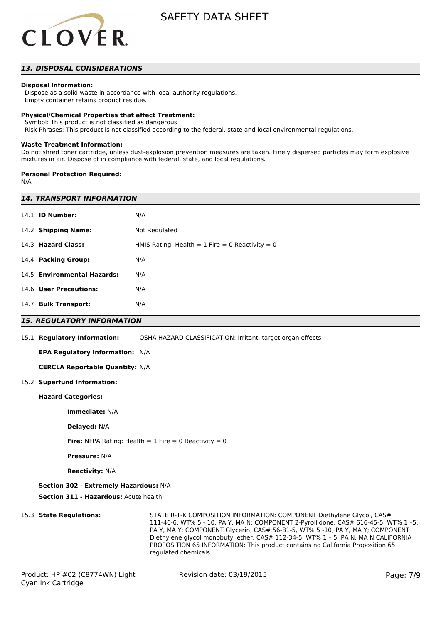

### *13. DISPOSAL CONSIDERATIONS*

#### **Disposal Information:**

 Dispose as a solid waste in accordance with local authority regulations. Empty container retains product residue.

#### **Physical/Chemical Properties that affect Treatment:**

Symbol: This product is not classified as dangerous

Risk Phrases: This product is not classified according to the federal, state and local environmental regulations.

#### **Waste Treatment Information:**

Do not shred toner cartridge, unless dust-explosion prevention measures are taken. Finely dispersed particles may form explosive mixtures in air. Dispose of in compliance with federal, state, and local regulations.

#### **Personal Protection Required:**

N/A

| <b>14. TRANSPORT INFORMATION</b>                               |                                                                                                                                                         |  |  |  |  |
|----------------------------------------------------------------|---------------------------------------------------------------------------------------------------------------------------------------------------------|--|--|--|--|
| 14.1 <b>ID Number:</b>                                         | N/A                                                                                                                                                     |  |  |  |  |
| 14.2 Shipping Name:                                            | Not Regulated                                                                                                                                           |  |  |  |  |
| 14.3 Hazard Class:                                             | HMIS Rating: Health = $1$ Fire = 0 Reactivity = 0                                                                                                       |  |  |  |  |
| 14.4 Packing Group:                                            | N/A                                                                                                                                                     |  |  |  |  |
| 14.5 Environmental Hazards:                                    | N/A                                                                                                                                                     |  |  |  |  |
| 14.6 User Precautions:                                         | N/A                                                                                                                                                     |  |  |  |  |
| 14.7 Bulk Transport:                                           | N/A                                                                                                                                                     |  |  |  |  |
| <b>15. REGULATORY INFORMATION</b>                              |                                                                                                                                                         |  |  |  |  |
| 15.1 Regulatory Information:                                   | OSHA HAZARD CLASSIFICATION: Irritant, target organ effects                                                                                              |  |  |  |  |
| EPA Regulatory Information: N/A                                |                                                                                                                                                         |  |  |  |  |
| <b>CERCLA Reportable Quantity: N/A</b>                         |                                                                                                                                                         |  |  |  |  |
| 15.2 Superfund Information:                                    |                                                                                                                                                         |  |  |  |  |
| <b>Hazard Categories:</b>                                      |                                                                                                                                                         |  |  |  |  |
| Immediate: N/A                                                 |                                                                                                                                                         |  |  |  |  |
| Delayed: N/A                                                   |                                                                                                                                                         |  |  |  |  |
| <b>Fire:</b> NFPA Rating: Health = $1$ Fire = 0 Reactivity = 0 |                                                                                                                                                         |  |  |  |  |
| <b>Pressure: N/A</b>                                           |                                                                                                                                                         |  |  |  |  |
| <b>Reactivity: N/A</b>                                         |                                                                                                                                                         |  |  |  |  |
| Section 302 - Extremely Hazardous: N/A                         |                                                                                                                                                         |  |  |  |  |
| Section 311 - Hazardous: Acute health.                         |                                                                                                                                                         |  |  |  |  |
| 15.3 State Regulations:                                        | STATE R-T-K COMPOSITION INFORMATION: COMPONENT Diethylene Glycol, CAS#<br>111-46-6 WT% 5 - 10 PA Y MA N: COMPONENT 2-Pyrollidone CAS# 616-45-5 WT% 1 -5 |  |  |  |  |

111-46-6, WT% 5 - 10, PA Y, MA N; COMPONENT 2-Pyrollidone, CAS# 616-45-5, WT% 1 –5, PA Y, MA Y; COMPONENT Glycerin, CAS# 56-81-5, WT% 5 -10, PA Y, MA Y; COMPONENT Diethylene glycol monobutyl ether, CAS# 112-34-5, WT% 1 – 5, PA N, MA N CALIFORNIA PROPOSITION 65 INFORMATION: This product contains no California Proposition 65 regulated chemicals.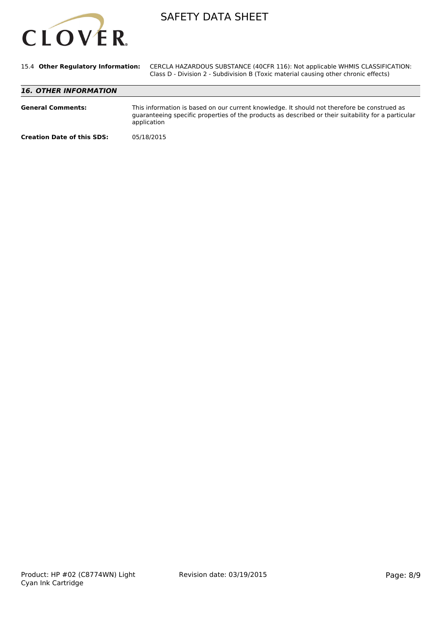

| 15.4 Other Regulatory Information: | CERCLA HAZARDOUS SUBSTANCE (40CFR 116): Not applicable WHMIS CLASSIFICATION:<br>Class D - Division 2 - Subdivision B (Toxic material causing other chronic effects)                                               |  |  |  |
|------------------------------------|-------------------------------------------------------------------------------------------------------------------------------------------------------------------------------------------------------------------|--|--|--|
| <b>16. OTHER INFORMATION</b>       |                                                                                                                                                                                                                   |  |  |  |
| <b>General Comments:</b>           | This information is based on our current knowledge. It should not therefore be construed as<br>guaranteeing specific properties of the products as described or their suitability for a particular<br>application |  |  |  |
| <b>Creation Date of this SDS:</b>  | 05/18/2015                                                                                                                                                                                                        |  |  |  |